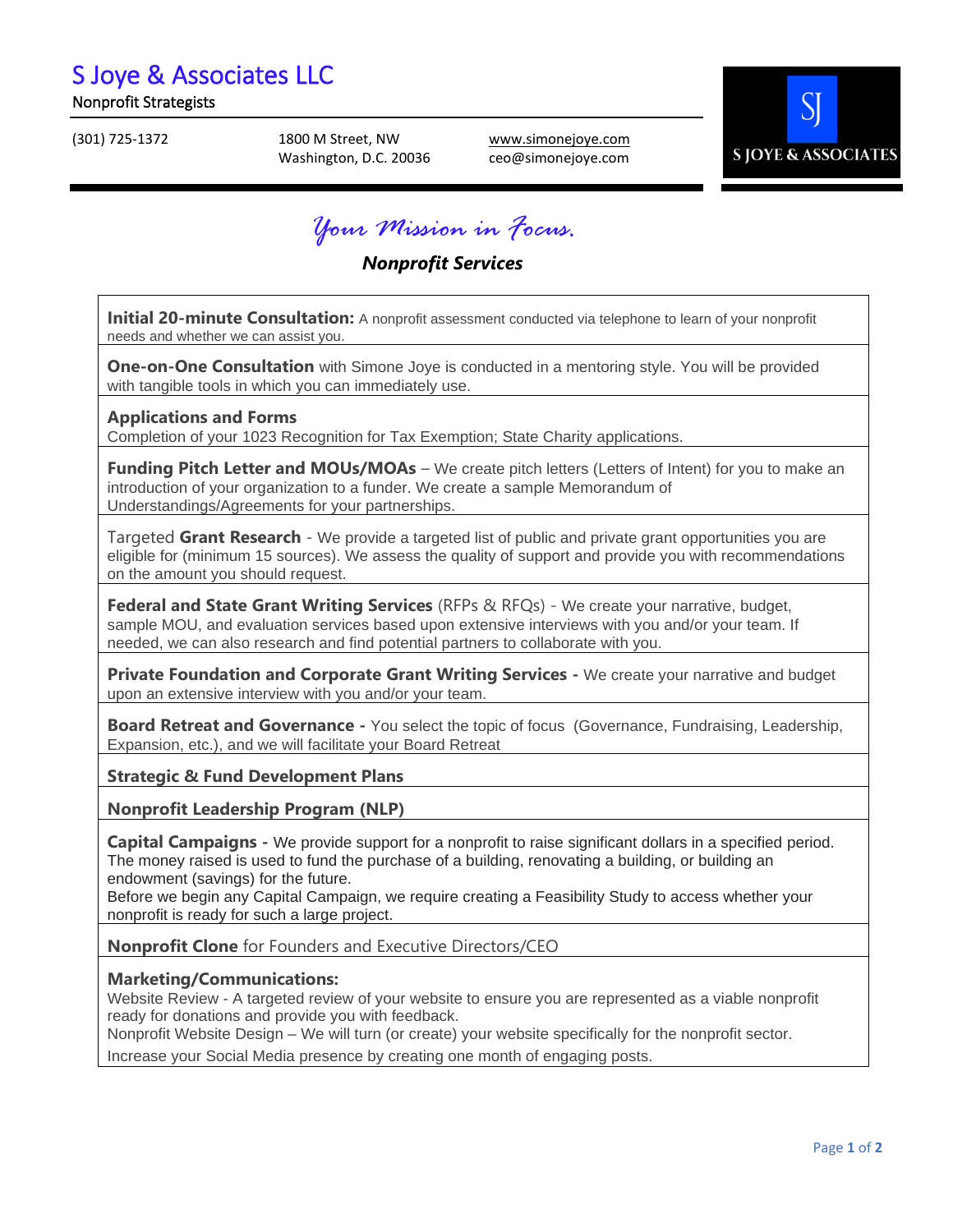# S Joye & Associates LLC

#### Nonprofit Strategists

(301) 725-1372 1800 M Street, NW Washington, D.C. 20036 [www.simonejoye.com](http://www.simonejoye.com/) ceo@simonejoye.com



*Your Mission in Focus.*

### *Nonprofit Services*

**Initial 20-minute Consultation:** A nonprofit assessment conducted via telephone to learn of your nonprofit needs and whether we can assist you.

**One-on-One Consultation** with Simone Joye is conducted in a mentoring style. You will be provided with tangible tools in which you can immediately use.

**Applications and Forms** Completion of your 1023 Recognition for Tax Exemption; State Charity applications.

**Funding Pitch Letter and MOUs/MOAs** – We create pitch letters (Letters of Intent) for you to make an introduction of your organization to a funder. We create a sample Memorandum of Understandings/Agreements for your partnerships.

Targeted **Grant Research** - We provide a targeted list of public and private grant opportunities you are eligible for (minimum 15 sources). We assess the quality of support and provide you with recommendations on the amount you should request.

**Federal and State Grant Writing Services** (RFPs & RFQs) - We create your narrative, budget, sample MOU, and evaluation services based upon extensive interviews with you and/or your team. If needed, we can also research and find potential partners to collaborate with you.

**Private Foundation and Corporate Grant Writing Services -** We create your narrative and budget upon an extensive interview with you and/or your team.

**Board Retreat and Governance -** You select the topic of focus (Governance, Fundraising, Leadership, Expansion, etc.), and we will facilitate your Board Retreat

#### **Strategic & Fund Development Plans**

**Nonprofit Leadership Program (NLP)**

**Capital Campaigns -** We provide support for a nonprofit to raise significant dollars in a specified period. The money raised is used to fund the purchase of a building, renovating a building, or building an endowment (savings) for the future.

Before we begin any Capital Campaign, we require creating a Feasibility Study to access whether your nonprofit is ready for such a large project.

**Nonprofit Clone** for Founders and Executive Directors/CEO

#### **Marketing/Communications:**

Website Review - A targeted review of your website to ensure you are represented as a viable nonprofit ready for donations and provide you with feedback.

Nonprofit Website Design – We will turn (or create) your website specifically for the nonprofit sector.

Increase your Social Media presence by creating one month of engaging posts.